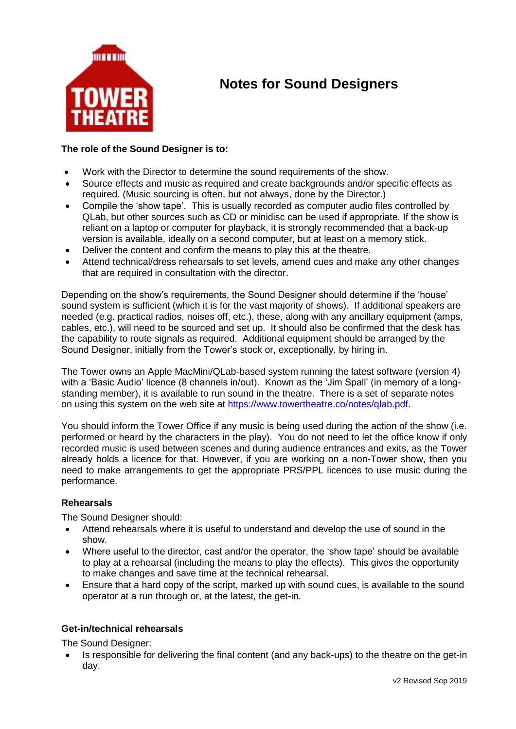

# **Notes for Sound Designers**

### **The role of the Sound Designer is to:**

- Work with the Director to determine the sound requirements of the show.
- Source effects and music as required and create backgrounds and/or specific effects as required. (Music sourcing is often, but not always, done by the Director.)
- Compile the 'show tape'. This is usually recorded as computer audio files controlled by QLab, but other sources such as CD or minidisc can be used if appropriate. If the show is reliant on a laptop or computer for playback, it is strongly recommended that a back-up version is available, ideally on a second computer, but at least on a memory stick.
- Deliver the content and confirm the means to play this at the theatre.
- Attend technical/dress rehearsals to set levels, amend cues and make any other changes that are required in consultation with the director.

Depending on the show's requirements, the Sound Designer should determine if the 'house' sound system is sufficient (which it is for the vast majority of shows). If additional speakers are needed (e.g. practical radios, noises off, etc.), these, along with any ancillary equipment (amps, cables, etc.), will need to be sourced and set up. It should also be confirmed that the desk has the capability to route signals as required. Additional equipment should be arranged by the Sound Designer, initially from the Tower's stock or, exceptionally, by hiring in.

The Tower owns an Apple MacMini/QLab-based system running the latest software (version 4) with a 'Basic Audio' licence (8 channels in/out). Known as the 'Jim Spall' (in memory of a longstanding member), it is available to run sound in the theatre. There is a set of separate notes on using this system on the web site at [https://www.towertheatre.co/notes/qlab.pdf.](https://www.towertheatre.co/notes/qlab.pdf)

You should inform the Tower Office if any music is being used during the action of the show (i.e. performed or heard by the characters in the play). You do not need to let the office know if only recorded music is used between scenes and during audience entrances and exits, as the Tower already holds a licence for that. However, if you are working on a non-Tower show, then you need to make arrangements to get the appropriate PRS/PPL licences to use music during the performance.

#### **Rehearsals**

The Sound Designer should:

- Attend rehearsals where it is useful to understand and develop the use of sound in the show.
- Where useful to the director, cast and/or the operator, the 'show tape' should be available to play at a rehearsal (including the means to play the effects). This gives the opportunity to make changes and save time at the technical rehearsal.
- Ensure that a hard copy of the script, marked up with sound cues, is available to the sound operator at a run through or, at the latest, the get-in.

#### **Get-in/technical rehearsals**

The Sound Designer:

 Is responsible for delivering the final content (and any back-ups) to the theatre on the get-in day.